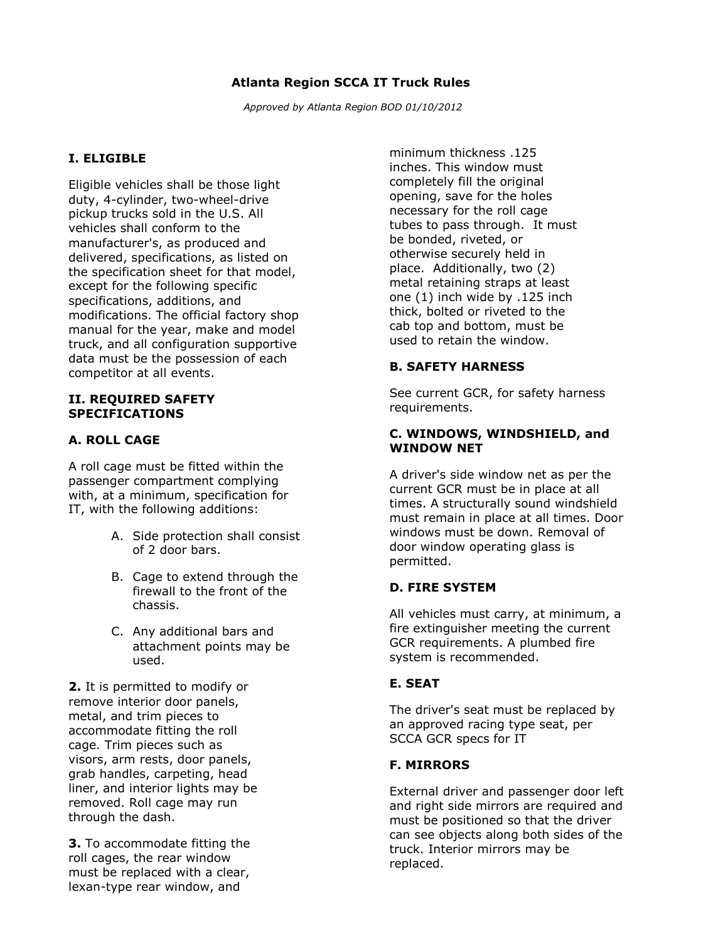## **Atlanta Region SCCA IT Truck Rules**

*Approved by Atlanta Region BOD 01/10/2012*

# **I. ELIGIBLE**

Eligible vehicles shall be those light duty, 4-cylinder, two-wheel-drive pickup trucks sold in the U.S. All vehicles shall conform to the manufacturer's, as produced and delivered, specifications, as listed on the specification sheet for that model, except for the following specific specifications, additions, and modifications. The official factory shop manual for the year, make and model truck, and all configuration supportive data must be the possession of each competitor at all events.

#### **II. REQUIRED SAFETY SPECIFICATIONS**

## **A. ROLL CAGE**

A roll cage must be fitted within the passenger compartment complying with, at a minimum, specification for IT, with the following additions:

- A. Side protection shall consist of 2 door bars.
- B. Cage to extend through the firewall to the front of the chassis.
- C. Any additional bars and attachment points may be used.

**2.** It is permitted to modify or remove interior door panels, metal, and trim pieces to accommodate fitting the roll cage. Trim pieces such as visors, arm rests, door panels, grab handles, carpeting, head liner, and interior lights may be removed. Roll cage may run through the dash.

**3.** To accommodate fitting the roll cages, the rear window must be replaced with a clear, lexan-type rear window, and

minimum thickness .125 inches. This window must completely fill the original opening, save for the holes necessary for the roll cage tubes to pass through. It must be bonded, riveted, or otherwise securely held in place. Additionally, two (2) metal retaining straps at least one (1) inch wide by .125 inch thick, bolted or riveted to the cab top and bottom, must be used to retain the window.

## **B. SAFETY HARNESS**

See current GCR, for safety harness requirements.

### **C. WINDOWS, WINDSHIELD, and WINDOW NET**

A driver's side window net as per the current GCR must be in place at all times. A structurally sound windshield must remain in place at all times. Door windows must be down. Removal of door window operating glass is permitted.

## **D. FIRE SYSTEM**

All vehicles must carry, at minimum, a fire extinguisher meeting the current GCR requirements. A plumbed fire system is recommended.

## **E. SEAT**

The driver's seat must be replaced by an approved racing type seat, per SCCA GCR specs for IT

## **F. MIRRORS**

External driver and passenger door left and right side mirrors are required and must be positioned so that the driver can see objects along both sides of the truck. Interior mirrors may be replaced.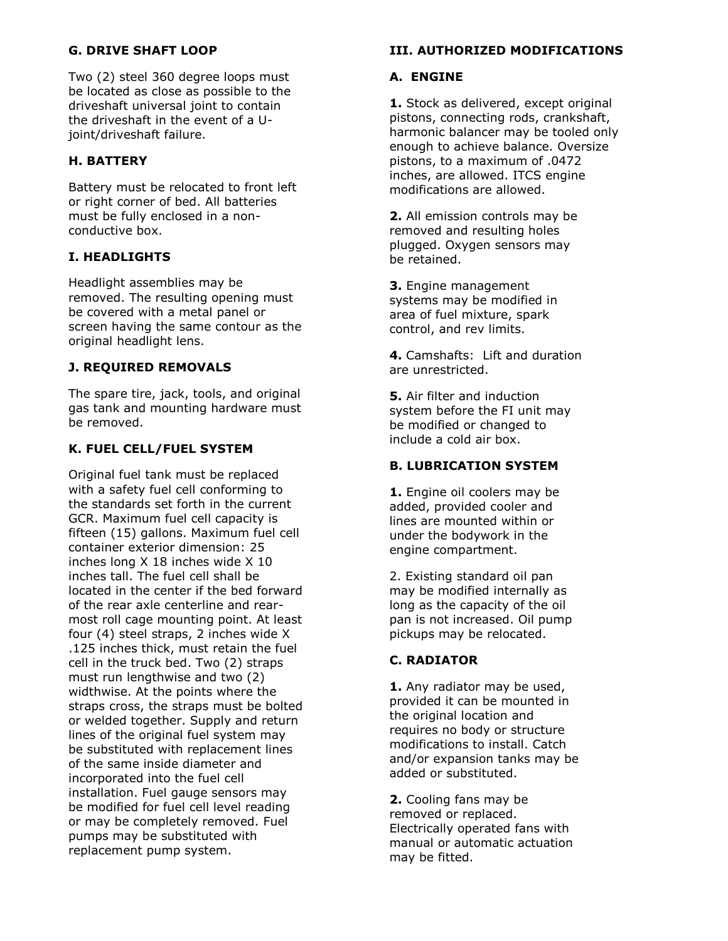## **G. DRIVE SHAFT LOOP**

Two (2) steel 360 degree loops must be located as close as possible to the driveshaft universal joint to contain the driveshaft in the event of a Ujoint/driveshaft failure.

# **H. BATTERY**

Battery must be relocated to front left or right corner of bed. All batteries must be fully enclosed in a nonconductive box.

## **I. HEADLIGHTS**

Headlight assemblies may be removed. The resulting opening must be covered with a metal panel or screen having the same contour as the original headlight lens.

## **J. REQUIRED REMOVALS**

The spare tire, jack, tools, and original gas tank and mounting hardware must be removed.

# **K. FUEL CELL/FUEL SYSTEM**

Original fuel tank must be replaced with a safety fuel cell conforming to the standards set forth in the current GCR. Maximum fuel cell capacity is fifteen (15) gallons. Maximum fuel cell container exterior dimension: 25 inches long X 18 inches wide X 10 inches tall. The fuel cell shall be located in the center if the bed forward of the rear axle centerline and rearmost roll cage mounting point. At least four (4) steel straps, 2 inches wide X .125 inches thick, must retain the fuel cell in the truck bed. Two (2) straps must run lengthwise and two (2) widthwise. At the points where the straps cross, the straps must be bolted or welded together. Supply and return lines of the original fuel system may be substituted with replacement lines of the same inside diameter and incorporated into the fuel cell installation. Fuel gauge sensors may be modified for fuel cell level reading or may be completely removed. Fuel pumps may be substituted with replacement pump system.

## **III. AUTHORIZED MODIFICATIONS**

## **A. ENGINE**

**1.** Stock as delivered, except original pistons, connecting rods, crankshaft, harmonic balancer may be tooled only enough to achieve balance. Oversize pistons, to a maximum of .0472 inches, are allowed. ITCS engine modifications are allowed.

**2.** All emission controls may be removed and resulting holes plugged. Oxygen sensors may be retained.

**3.** Engine management systems may be modified in area of fuel mixture, spark control, and rev limits.

**4.** Camshafts: Lift and duration are unrestricted.

**5.** Air filter and induction system before the FI unit may be modified or changed to include a cold air box.

## **B. LUBRICATION SYSTEM**

**1.** Engine oil coolers may be added, provided cooler and lines are mounted within or under the bodywork in the engine compartment.

2. Existing standard oil pan may be modified internally as long as the capacity of the oil pan is not increased. Oil pump pickups may be relocated.

## **C. RADIATOR**

**1.** Any radiator may be used, provided it can be mounted in the original location and requires no body or structure modifications to install. Catch and/or expansion tanks may be added or substituted.

**2.** Cooling fans may be removed or replaced. Electrically operated fans with manual or automatic actuation may be fitted.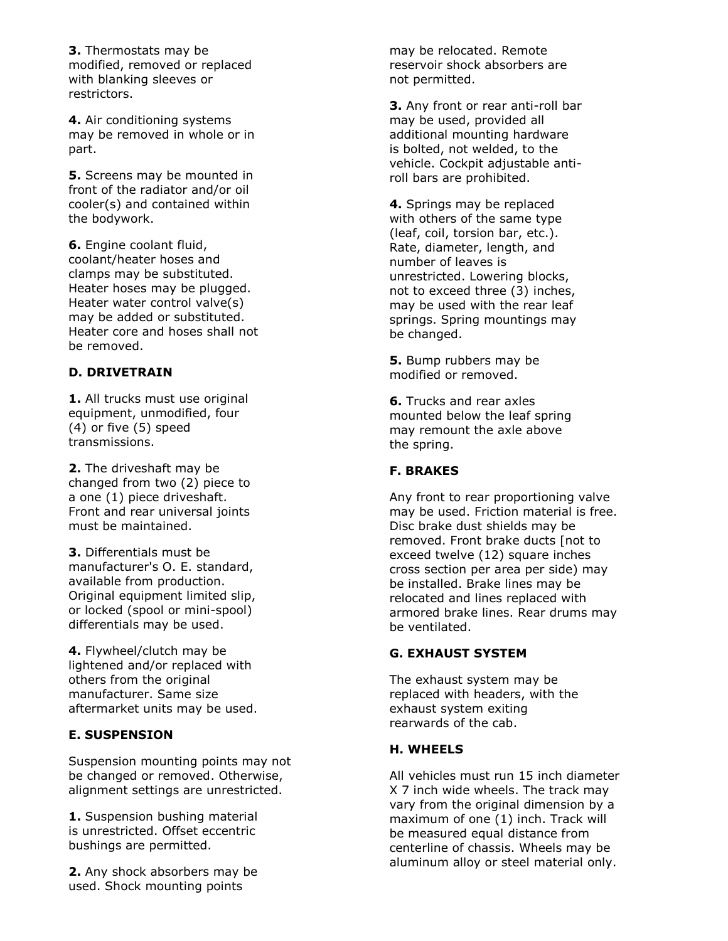**3.** Thermostats may be modified, removed or replaced with blanking sleeves or restrictors.

**4.** Air conditioning systems may be removed in whole or in part.

**5.** Screens may be mounted in front of the radiator and/or oil cooler(s) and contained within the bodywork.

**6.** Engine coolant fluid, coolant/heater hoses and clamps may be substituted. Heater hoses may be plugged. Heater water control valve(s) may be added or substituted. Heater core and hoses shall not be removed.

# **D. DRIVETRAIN**

**1.** All trucks must use original equipment, unmodified, four (4) or five (5) speed transmissions.

**2.** The driveshaft may be changed from two (2) piece to a one (1) piece driveshaft. Front and rear universal joints must be maintained.

**3.** Differentials must be manufacturer's O. E. standard, available from production. Original equipment limited slip, or locked (spool or mini-spool) differentials may be used.

**4.** Flywheel/clutch may be lightened and/or replaced with others from the original manufacturer. Same size aftermarket units may be used.

# **E. SUSPENSION**

Suspension mounting points may not be changed or removed. Otherwise, alignment settings are unrestricted.

**1.** Suspension bushing material is unrestricted. Offset eccentric bushings are permitted.

**2.** Any shock absorbers may be used. Shock mounting points

may be relocated. Remote reservoir shock absorbers are not permitted.

**3.** Any front or rear anti-roll bar may be used, provided all additional mounting hardware is bolted, not welded, to the vehicle. Cockpit adjustable antiroll bars are prohibited.

**4.** Springs may be replaced with others of the same type (leaf, coil, torsion bar, etc.). Rate, diameter, length, and number of leaves is unrestricted. Lowering blocks, not to exceed three (3) inches, may be used with the rear leaf springs. Spring mountings may be changed.

**5.** Bump rubbers may be modified or removed.

**6.** Trucks and rear axles mounted below the leaf spring may remount the axle above the spring.

# **F. BRAKES**

Any front to rear proportioning valve may be used. Friction material is free. Disc brake dust shields may be removed. Front brake ducts [not to exceed twelve (12) square inches cross section per area per side) may be installed. Brake lines may be relocated and lines replaced with armored brake lines. Rear drums may be ventilated.

# **G. EXHAUST SYSTEM**

The exhaust system may be replaced with headers, with the exhaust system exiting rearwards of the cab.

## **H. WHEELS**

All vehicles must run 15 inch diameter X 7 inch wide wheels. The track may vary from the original dimension by a maximum of one (1) inch. Track will be measured equal distance from centerline of chassis. Wheels may be aluminum alloy or steel material only.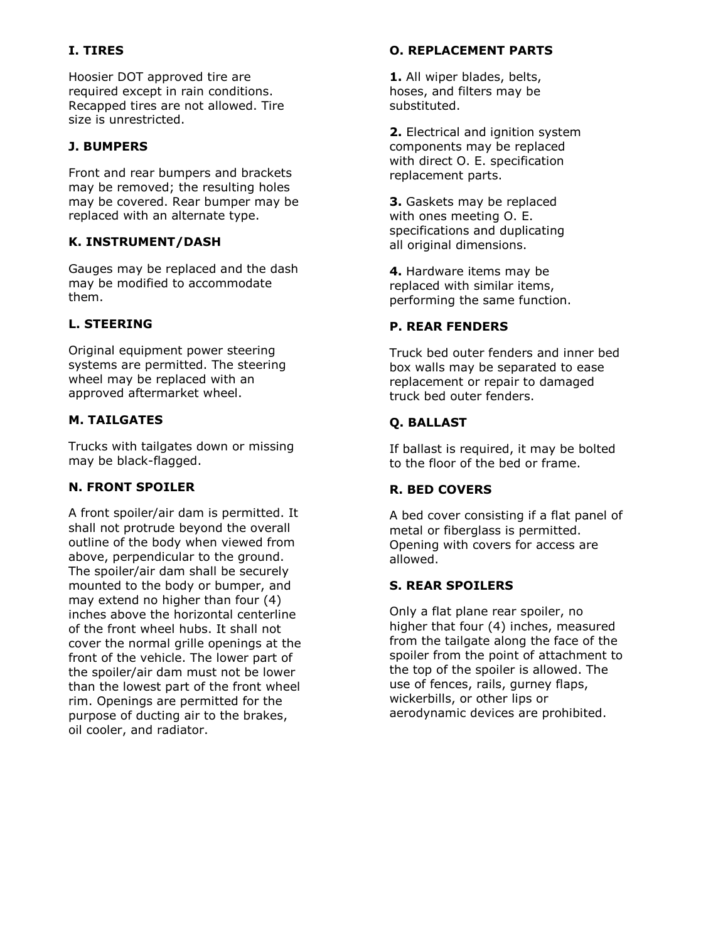# **I. TIRES**

Hoosier DOT approved tire are required except in rain conditions. Recapped tires are not allowed. Tire size is unrestricted.

## **J. BUMPERS**

Front and rear bumpers and brackets may be removed; the resulting holes may be covered. Rear bumper may be replaced with an alternate type.

# **K. INSTRUMENT/DASH**

Gauges may be replaced and the dash may be modified to accommodate them.

# **L. STEERING**

Original equipment power steering systems are permitted. The steering wheel may be replaced with an approved aftermarket wheel.

# **M. TAILGATES**

Trucks with tailgates down or missing may be black-flagged.

## **N. FRONT SPOILER**

A front spoiler/air dam is permitted. It shall not protrude beyond the overall outline of the body when viewed from above, perpendicular to the ground. The spoiler/air dam shall be securely mounted to the body or bumper, and may extend no higher than four (4) inches above the horizontal centerline of the front wheel hubs. It shall not cover the normal grille openings at the front of the vehicle. The lower part of the spoiler/air dam must not be lower than the lowest part of the front wheel rim. Openings are permitted for the purpose of ducting air to the brakes, oil cooler, and radiator.

## **O. REPLACEMENT PARTS**

**1.** All wiper blades, belts, hoses, and filters may be substituted.

**2.** Electrical and ignition system components may be replaced with direct O. E. specification replacement parts.

**3.** Gaskets may be replaced with ones meeting O. E. specifications and duplicating all original dimensions.

**4.** Hardware items may be replaced with similar items, performing the same function.

# **P. REAR FENDERS**

Truck bed outer fenders and inner bed box walls may be separated to ease replacement or repair to damaged truck bed outer fenders.

# **Q. BALLAST**

If ballast is required, it may be bolted to the floor of the bed or frame.

## **R. BED COVERS**

A bed cover consisting if a flat panel of metal or fiberglass is permitted. Opening with covers for access are allowed.

## **S. REAR SPOILERS**

Only a flat plane rear spoiler, no higher that four (4) inches, measured from the tailgate along the face of the spoiler from the point of attachment to the top of the spoiler is allowed. The use of fences, rails, gurney flaps, wickerbills, or other lips or aerodynamic devices are prohibited.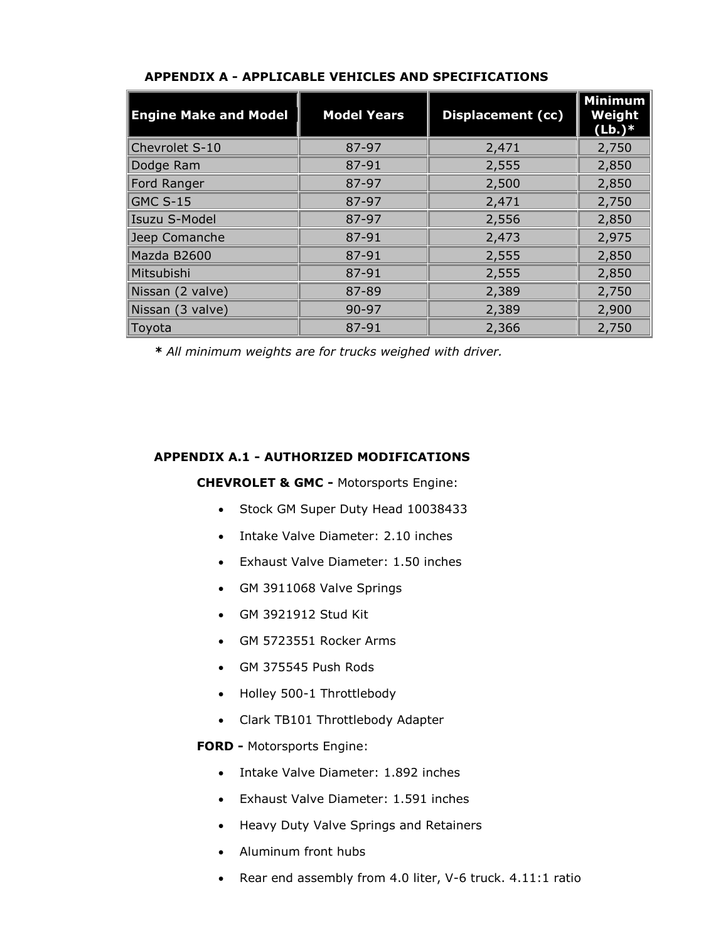| <b>Engine Make and Model</b> | <b>Model Years</b> | <b>Displacement (cc)</b> | <b>Minimum</b><br>Weight<br>$(Lb.)*$ |
|------------------------------|--------------------|--------------------------|--------------------------------------|
| Chevrolet S-10               | 87-97              | 2,471                    | 2,750                                |
| Dodge Ram                    | 87-91              | 2,555                    | 2,850                                |
| Ford Ranger                  | 87-97              | 2,500                    | 2,850                                |
| <b>GMC S-15</b>              | 87-97              | 2,471                    | 2,750                                |
| Isuzu S-Model                | 87-97              | 2,556                    | 2,850                                |
| Jeep Comanche                | 87-91              | 2,473                    | 2,975                                |
| Mazda B2600                  | 87-91              | 2,555                    | 2,850                                |
| Mitsubishi                   | 87-91              | 2,555                    | 2,850                                |
| Nissan (2 valve)             | 87-89              | 2,389                    | 2,750                                |
| Nissan (3 valve)             | 90-97              | 2,389                    | 2,900                                |
| Toyota                       | 87-91              | 2,366                    | 2,750                                |

#### **APPENDIX A - APPLICABLE VEHICLES AND SPECIFICATIONS**

*\* All minimum weights are for trucks weighed with driver.*

## **APPENDIX A.1 - AUTHORIZED MODIFICATIONS**

**CHEVROLET & GMC -** Motorsports Engine:

- Stock GM Super Duty Head 10038433
- Intake Valve Diameter: 2.10 inches
- Exhaust Valve Diameter: 1.50 inches
- GM 3911068 Valve Springs
- GM 3921912 Stud Kit
- GM 5723551 Rocker Arms
- GM 375545 Push Rods
- Holley 500-1 Throttlebody
- Clark TB101 Throttlebody Adapter

**FORD -** Motorsports Engine:

- Intake Valve Diameter: 1.892 inches
- Exhaust Valve Diameter: 1.591 inches
- Heavy Duty Valve Springs and Retainers
- Aluminum front hubs
- Rear end assembly from 4.0 liter, V-6 truck. 4.11:1 ratio